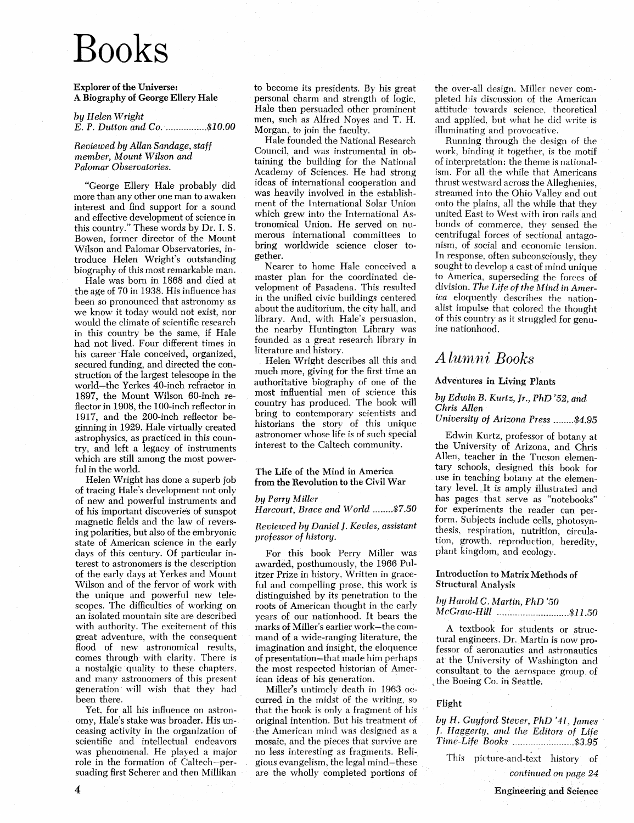# **Books**

Explorer of the Universe: A Biography of George Ellery Hale

*by Helen Wright E.* P. *Dutton and Co. \_. \_\_ ........ \_ ... .\$10.00* 

*Reviewed by Allan Sandage, staff member, Mount Wilson and Palomar Observatories.* 

"George Ellery Hale probably did more than any other one man to awaken interest and find support for a sound and effective development of science in this country." These words by Dr. 1. S. Bowen, former director of the Mount Wilson and Palomar Observatories, introduce Helen Wright's outstanding biography of this most remarkable man.

Hale was born in 1868 and died at the age of 70 in 1938. His influence has been so pronounced that astronomy as we know it today would not exist, nor would the climate of scientific research in this country be the same, if Hale had not lived. Four different times in his career' Hale conceived, organized, secured funding, and directed the construction of the largest telescope in the world-the Yerkes 40-inch refractor in 1897, the Mount Wilson 60-inch re-Hector in 1908, the 100-inch reHector in 1917, and the 200-inch reHector beginning in 1929. Hale virtually created astrophysics, as practiced in this country, and left a legacy of instruments which are still among the most powerful in the world.

Helen Wright has done a superb job of tracing Hale's development not only of new and powerful instruments and of his important discoveries of sunspot magnetic fields and the law of reversing polarities, but also of the embryonic state of American science in the early days of this century. Of particular interest to astronomers is the description of the early days at Yerkes and Mount Wilson and of the fervor of work with the unique and powerful new telescopes. The difficulties of working on an isolated monntain site are described with authority. The excitement of this great adventure, with the consequent Hood of new astronomical results, comes through with darity. There is a nostalgic· quality to these chapters. and many astronomers of this present generation will wish that thev had been there.

Yet. for all his influence on astronomy, Hale's stake was broader. His unceasing activity in the organization of scientific and intellectual endeavors was phenomenal. He played a major role in the formation of Caltech-persuading first Scherer and then Millikan

to become its presidents. By his great personal charm and strength of logic, Hale then persuaded other prominent men, such as Alfred Noyes and T. H. Morgan, to join the facultv.

Hale founded the National Research Council, and was instrumental in obtaining the building for the National Academy of Sciences. He had strong ideas of international cooperation and was heavily involved in the establishment of the International Solar Union which grew into the International Astronomical Union. He served on numerous international committees to bring worldwide science closer together.

Nearer to home Hale conceived a master plan for the coordinated development of Pasadena. This resulted in the unified civic buildings centered about the auditorium, the city hall, and library. And, with Hale's persuasion, the nearby Huntington Library was founded as a great research library in literature and history.

Helen Wright describes all this and much more, giving for the first time an authoritative biography of one of the most influential men of science this country has produced. The hook will bring to contemporary scientists and historians the story of this unique astronomer whose life is of such special interest to the Caltech community.

#### The Life of the Mind in America from the Revolution to the Civil War

#### *by Perry Miller*

*Harcourt, Brace and World ........ \$7.50* 

#### *Reviewed by Daniel]. Kevles, assistant professor of history.*

For this book Perry Miller was awarded, posthumously, the 1966 Pulitzer Prize in history. Written in graceful and compelling prose, this work is distinguished by its penetration to the roots of American thought in the early years of our nationhood. It bears the marks of Miller's earlier work-the command of a wide-ranging literature, the imagination and insight, the eloquence of presentation-that made him perhaps the most respected historian of American ideas of his generation.

Miller's untimely death in 1963 occurred in the midst of the writing. so that the book is only a fragment of his original intention. But his treatment of . the American mind was designed as a mosaic, and the pieces that survive are no less interesting as fragments. Religious evangelism, the legal mind-these are the wholly completed portions of

the over-all design. Miller never completed his discussion of the American attitude· towards science. theoretical and applied. hut what he did write is illuminating and provocative.

Running through the design of the work, binding it together, is the motif of interpretation: the theme is nationalism. For all the while that Americans thrust westward across the Alleghenies, streamed into the Ohio Valley and out onto the plains, all the while that they united East to' West with iron rails and bonds of commerce. they sensed the centrifugal forces of sectional antagonism, of social and economic tension. In response, often subconsciously, they sought to develop a cast of mind unique to America, superseding the forces of division. The Life of the Mind in Amer*ica* eloquently describes the nationalist impulse that colored the thought of this country as it struggled for genuine nationhood.

### Alumni Books

#### Adventures in Living Plants

#### *by Edwin B. Kurtz, Jr., PhD* '52, *and Chris Allen*

*University of Arizona Press .. \_.\_ ... \$4.95* 

Edwin Kurtz, professor of botany at the University of Arizona, and Chris Allen, teacher in the Tucson elementary schools, designed this book for use in teaching botany at the elementary level. It is amply illustrated and has pages that serve as "notebooks" for experiments the reader can perform. Subjects include cells, photosvnthesis, respiration, nutrition, circulation, growth, reproduction, heredity, plant kingdom, and ecology.

#### Introduction to Matrix Methods of Structural AnaJysis

#### *hy Harold* C. *Martin, PhD '50*

*McGraw-Hill .. \_ ... -.. \_.-----.... \_ ... \_ .. \_.\$11.50* 

A textbook for students or structural engineers. Dr. Martin is now professor of aeronautics and astronautics at the University of Washington and consultant. to the aerospace group of , the Boeing Co. in Seattle.

#### Flight

*by* H. *Guyford Stever, PhD* '41, *James*  ]. H *qggerty, and the Editors of Life Time-Life Books \_ ...... -.-.-.. \_ ....... \$3.95* 

This picture-and-text history of *continued on page 24* 

Engineering. and Science

4